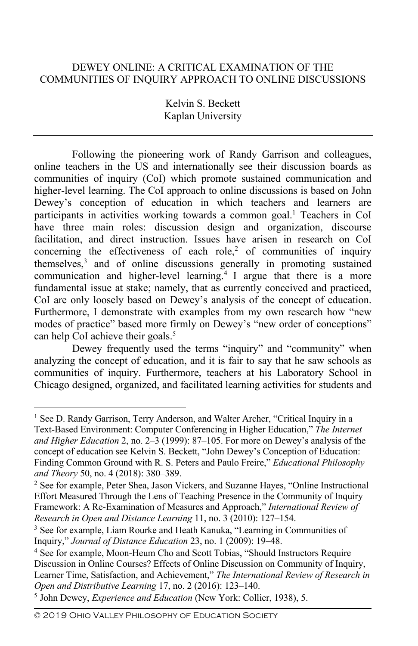# DEWEY ONLINE: A CRITICAL EXAMINATION OF THE COMMUNITIES OF INQUIRY APPROACH TO ONLINE DISCUSSIONS

Kelvin S. Beckett Kaplan University

Following the pioneering work of Randy Garrison and colleagues, online teachers in the US and internationally see their discussion boards as communities of inquiry (CoI) which promote sustained communication and higher-level learning. The CoI approach to online discussions is based on John Dewey's conception of education in which teachers and learners are participants in activities working towards a common goal.<sup>1</sup> Teachers in CoI have three main roles: discussion design and organization, discourse facilitation, and direct instruction. Issues have arisen in research on CoI concerning the effectiveness of each role,<sup>2</sup> of communities of inquiry themselves,3 and of online discussions generally in promoting sustained communication and higher-level learning.<sup>4</sup> I argue that there is a more fundamental issue at stake; namely, that as currently conceived and practiced, CoI are only loosely based on Dewey's analysis of the concept of education. Furthermore, I demonstrate with examples from my own research how "new modes of practice" based more firmly on Dewey's "new order of conceptions" can help CoI achieve their goals.<sup>5</sup>

Dewey frequently used the terms "inquiry" and "community" when analyzing the concept of education, and it is fair to say that he saw schools as communities of inquiry. Furthermore, teachers at his Laboratory School in Chicago designed, organized, and facilitated learning activities for students and

<sup>5</sup> John Dewey, *Experience and Education* (New York: Collier, 1938), 5.

<sup>&</sup>lt;sup>1</sup> See D. Randy Garrison, Terry Anderson, and Walter Archer, "Critical Inquiry in a Text-Based Environment: Computer Conferencing in Higher Education," *The Internet and Higher Education* 2, no. 2–3 (1999): 87–105. For more on Dewey's analysis of the concept of education see Kelvin S. Beckett, "John Dewey's Conception of Education: Finding Common Ground with R. S. Peters and Paulo Freire," *Educational Philosophy and Theory* 50, no. 4 (2018): 380–389.

<sup>2</sup> See for example, Peter Shea, Jason Vickers, and Suzanne Hayes, "Online Instructional Effort Measured Through the Lens of Teaching Presence in the Community of Inquiry Framework: A Re-Examination of Measures and Approach," *International Review of Research in Open and Distance Learning* 11, no. 3 (2010): 127–154.

<sup>3</sup> See for example, Liam Rourke and Heath Kanuka, "Learning in Communities of Inquiry," *Journal of Distance Education* 23, no. 1 (2009): 19–48.

<sup>&</sup>lt;sup>4</sup> See for example, Moon-Heum Cho and Scott Tobias, "Should Instructors Require Discussion in Online Courses? Effects of Online Discussion on Community of Inquiry, Learner Time, Satisfaction, and Achievement," *The International Review of Research in Open and Distributive Learning* 17, no. 2 (2016): 123–140.

<sup>©</sup> 2019 Ohio Valley Philosophy of Education Society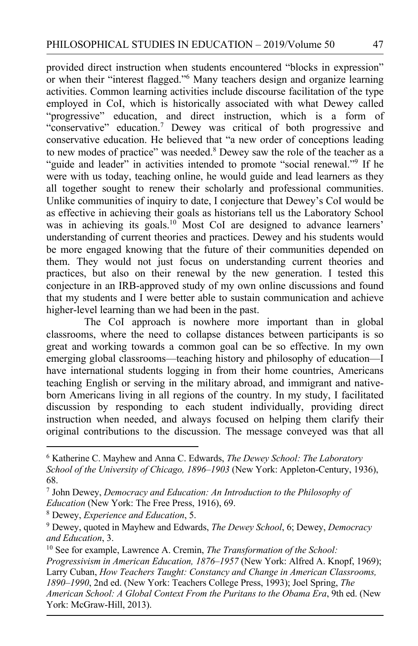provided direct instruction when students encountered "blocks in expression" or when their "interest flagged."6 Many teachers design and organize learning activities. Common learning activities include discourse facilitation of the type employed in CoI, which is historically associated with what Dewey called "progressive" education, and direct instruction, which is a form of "conservative" education.7 Dewey was critical of both progressive and conservative education. He believed that "a new order of conceptions leading to new modes of practice" was needed.<sup>8</sup> Dewey saw the role of the teacher as a "guide and leader" in activities intended to promote "social renewal."<sup>9</sup> If he were with us today, teaching online, he would guide and lead learners as they all together sought to renew their scholarly and professional communities. Unlike communities of inquiry to date, I conjecture that Dewey's CoI would be as effective in achieving their goals as historians tell us the Laboratory School was in achieving its goals.<sup>10</sup> Most CoI are designed to advance learners' understanding of current theories and practices. Dewey and his students would be more engaged knowing that the future of their communities depended on them. They would not just focus on understanding current theories and practices, but also on their renewal by the new generation. I tested this conjecture in an IRB-approved study of my own online discussions and found that my students and I were better able to sustain communication and achieve higher-level learning than we had been in the past.

The CoI approach is nowhere more important than in global classrooms, where the need to collapse distances between participants is so great and working towards a common goal can be so effective. In my own emerging global classrooms—teaching history and philosophy of education—I have international students logging in from their home countries, Americans teaching English or serving in the military abroad, and immigrant and nativeborn Americans living in all regions of the country. In my study, I facilitated discussion by responding to each student individually, providing direct instruction when needed, and always focused on helping them clarify their original contributions to the discussion. The message conveyed was that all

<sup>6</sup> Katherine C. Mayhew and Anna C. Edwards, *The Dewey School: The Laboratory School of the University of Chicago, 1896–1903* (New York: Appleton-Century, 1936), 68.

<sup>7</sup> John Dewey, *Democracy and Education: An Introduction to the Philosophy of Education* (New York: The Free Press, 1916), 69.

<sup>8</sup> Dewey, *Experience and Education*, 5.

<sup>9</sup> Dewey, quoted in Mayhew and Edwards, *The Dewey School*, 6; Dewey, *Democracy and Education*, 3.

<sup>10</sup> See for example, Lawrence A. Cremin, *The Transformation of the School: Progressivism in American Education, 1876–1957* (New York: Alfred A. Knopf, 1969); Larry Cuban, *How Teachers Taught: Constancy and Change in American Classrooms, 1890–1990*, 2nd ed. (New York: Teachers College Press, 1993); Joel Spring, *The American School: A Global Context From the Puritans to the Obama Era*, 9th ed. (New York: McGraw-Hill, 2013).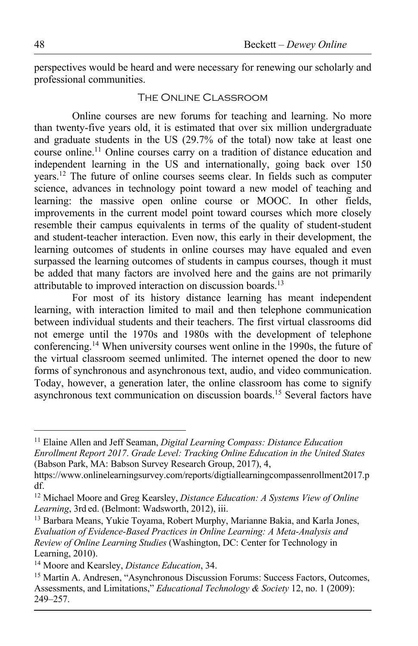perspectives would be heard and were necessary for renewing our scholarly and professional communities.

## The Online Classroom

Online courses are new forums for teaching and learning. No more than twenty-five years old, it is estimated that over six million undergraduate and graduate students in the US (29.7% of the total) now take at least one course online.11 Online courses carry on a tradition of distance education and independent learning in the US and internationally, going back over 150 years.12 The future of online courses seems clear. In fields such as computer science, advances in technology point toward a new model of teaching and learning: the massive open online course or MOOC. In other fields, improvements in the current model point toward courses which more closely resemble their campus equivalents in terms of the quality of student-student and student-teacher interaction. Even now, this early in their development, the learning outcomes of students in online courses may have equaled and even surpassed the learning outcomes of students in campus courses, though it must be added that many factors are involved here and the gains are not primarily attributable to improved interaction on discussion boards.<sup>13</sup>

For most of its history distance learning has meant independent learning, with interaction limited to mail and then telephone communication between individual students and their teachers. The first virtual classrooms did not emerge until the 1970s and 1980s with the development of telephone conferencing.14 When university courses went online in the 1990s, the future of the virtual classroom seemed unlimited. The internet opened the door to new forms of synchronous and asynchronous text, audio, and video communication. Today, however, a generation later, the online classroom has come to signify asynchronous text communication on discussion boards.15 Several factors have

<sup>11</sup> Elaine Allen and Jeff Seaman, *Digital Learning Compass: Distance Education Enrollment Report 2017*. *Grade Level: Tracking Online Education in the United States* (Babson Park, MA: Babson Survey Research Group, 2017), 4,

https://www.onlinelearningsurvey.com/reports/digtiallearningcompassenrollment2017.p df.

<sup>12</sup> Michael Moore and Greg Kearsley, *Distance Education: A Systems View of Online Learning*, 3rd ed. (Belmont: Wadsworth, 2012), iii.

<sup>&</sup>lt;sup>13</sup> Barbara Means, Yukie Toyama, Robert Murphy, Marianne Bakia, and Karla Jones, *Evaluation of Evidence-Based Practices in Online Learning: A Meta-Analysis and Review of Online Learning Studies* (Washington, DC: Center for Technology in Learning, 2010).

<sup>14</sup> Moore and Kearsley, *Distance Education*, 34.

<sup>&</sup>lt;sup>15</sup> Martin A. Andresen, "Asynchronous Discussion Forums: Success Factors, Outcomes, Assessments, and Limitations," *Educational Technology & Society* 12, no. 1 (2009): 249–257.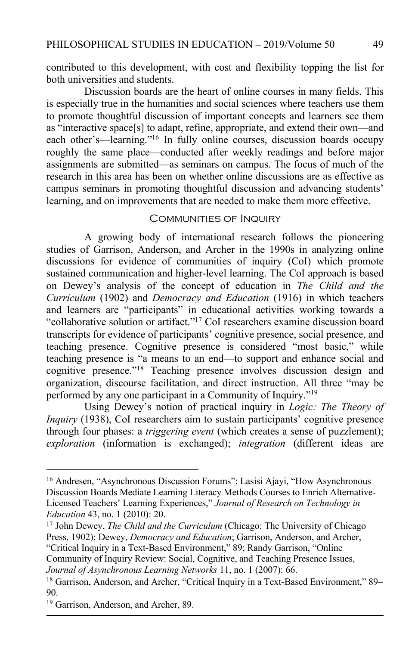contributed to this development, with cost and flexibility topping the list for both universities and students.

Discussion boards are the heart of online courses in many fields. This is especially true in the humanities and social sciences where teachers use them to promote thoughtful discussion of important concepts and learners see them as "interactive space[s] to adapt, refine, appropriate, and extend their own—and each other's—learning."16 In fully online courses, discussion boards occupy roughly the same place—conducted after weekly readings and before major assignments are submitted—as seminars on campus. The focus of much of the research in this area has been on whether online discussions are as effective as campus seminars in promoting thoughtful discussion and advancing students' learning, and on improvements that are needed to make them more effective.

## Communities of Inquiry

A growing body of international research follows the pioneering studies of Garrison, Anderson, and Archer in the 1990s in analyzing online discussions for evidence of communities of inquiry (CoI) which promote sustained communication and higher-level learning. The CoI approach is based on Dewey's analysis of the concept of education in *The Child and the Curriculum* (1902) and *Democracy and Education* (1916) in which teachers and learners are "participants" in educational activities working towards a "collaborative solution or artifact."17 CoI researchers examine discussion board transcripts for evidence of participants' cognitive presence, social presence, and teaching presence. Cognitive presence is considered "most basic," while teaching presence is "a means to an end—to support and enhance social and cognitive presence."18 Teaching presence involves discussion design and organization, discourse facilitation, and direct instruction. All three "may be performed by any one participant in a Community of Inquiry."19

Using Dewey's notion of practical inquiry in *Logic: The Theory of Inquiry* (1938), CoI researchers aim to sustain participants' cognitive presence through four phases: a *triggering event* (which creates a sense of puzzlement); *exploration* (information is exchanged); *integration* (different ideas are

*Journal of Asynchronous Learning Networks* 11, no. 1 (2007): 66.

<sup>&</sup>lt;sup>16</sup> Andresen, "Asynchronous Discussion Forums"; Lasisi Ajayi, "How Asynchronous Discussion Boards Mediate Learning Literacy Methods Courses to Enrich Alternative-Licensed Teachers' Learning Experiences," *Journal of Research on Technology in Education* 43, no. 1 (2010): 20.

<sup>&</sup>lt;sup>17</sup> John Dewey, *The Child and the Curriculum* (Chicago: The University of Chicago Press, 1902); Dewey, *Democracy and Education*; Garrison, Anderson, and Archer, "Critical Inquiry in a Text-Based Environment," 89; Randy Garrison, "Online Community of Inquiry Review: Social, Cognitive, and Teaching Presence Issues,

<sup>&</sup>lt;sup>18</sup> Garrison, Anderson, and Archer, "Critical Inquiry in a Text-Based Environment," 89– 90.

<sup>&</sup>lt;sup>19</sup> Garrison, Anderson, and Archer, 89.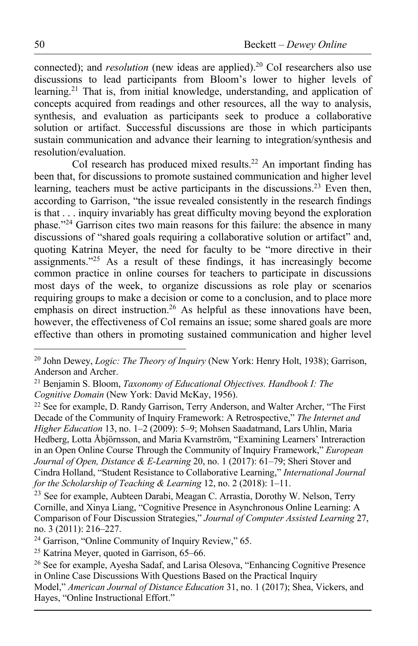connected); and *resolution* (new ideas are applied).<sup>20</sup> CoI researchers also use discussions to lead participants from Bloom's lower to higher levels of learning.21 That is, from initial knowledge, understanding, and application of concepts acquired from readings and other resources, all the way to analysis, synthesis, and evaluation as participants seek to produce a collaborative solution or artifact. Successful discussions are those in which participants sustain communication and advance their learning to integration/synthesis and resolution/evaluation.

CoI research has produced mixed results.<sup>22</sup> An important finding has been that, for discussions to promote sustained communication and higher level learning, teachers must be active participants in the discussions.<sup>23</sup> Even then, according to Garrison, "the issue revealed consistently in the research findings is that . . . inquiry invariably has great difficulty moving beyond the exploration phase."24 Garrison cites two main reasons for this failure: the absence in many discussions of "shared goals requiring a collaborative solution or artifact" and, quoting Katrina Meyer, the need for faculty to be "more directive in their assignments."25 As a result of these findings, it has increasingly become common practice in online courses for teachers to participate in discussions most days of the week, to organize discussions as role play or scenarios requiring groups to make a decision or come to a conclusion, and to place more emphasis on direct instruction.<sup>26</sup> As helpful as these innovations have been, however, the effectiveness of CoI remains an issue; some shared goals are more effective than others in promoting sustained communication and higher level

<sup>22</sup> See for example, D. Randy Garrison, Terry Anderson, and Walter Archer, "The First Decade of the Community of Inquiry Framework: A Retrospective," *The Internet and Higher Education* 13, no. 1–2 (2009): 5–9; Mohsen Saadatmand, Lars Uhlin, Maria Hedberg, Lotta Åbjörnsson, and Maria Kvarnström, "Examining Learners' Intreraction in an Open Online Course Through the Community of Inquiry Framework," *European Journal of Open, Distance & E-Learning* 20, no. 1 (2017): 61–79; Sheri Stover and Cindra Holland, "Student Resistance to Collaborative Learning," *International Journal for the Scholarship of Teaching & Learning* 12, no. 2 (2018): 1–11.

<sup>23</sup> See for example, Aubteen Darabi, Meagan C. Arrastia, Dorothy W. Nelson, Terry Cornille, and Xinya Liang, "Cognitive Presence in Asynchronous Online Learning: A Comparison of Four Discussion Strategies," *Journal of Computer Assisted Learning* 27, no. 3 (2011): 216–227.

<sup>24</sup> Garrison, "Online Community of Inquiry Review," 65.

<sup>25</sup> Katrina Meyer, quoted in Garrison, 65–66.

<sup>20</sup> John Dewey, *Logic: The Theory of Inquiry* (New York: Henry Holt, 1938); Garrison, Anderson and Archer.

<sup>21</sup> Benjamin S. Bloom, *Taxonomy of Educational Objectives. Handbook I: The Cognitive Domain* (New York: David McKay, 1956).

<sup>&</sup>lt;sup>26</sup> See for example, Ayesha Sadaf, and Larisa Olesova, "Enhancing Cognitive Presence in Online Case Discussions With Questions Based on the Practical Inquiry Model," *American Journal of Distance Education* 31, no. 1 (2017); Shea, Vickers, and Hayes, "Online Instructional Effort."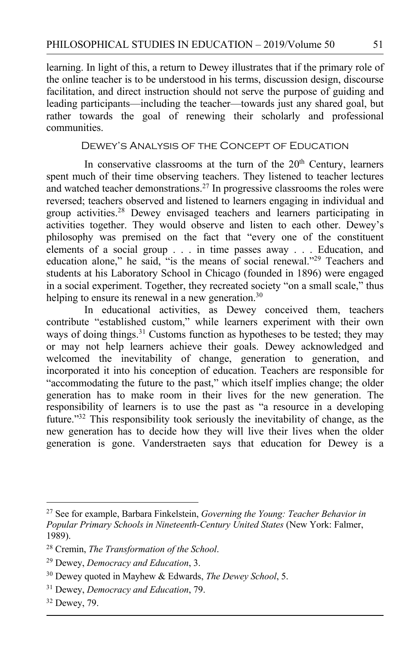learning. In light of this, a return to Dewey illustrates that if the primary role of the online teacher is to be understood in his terms, discussion design, discourse facilitation, and direct instruction should not serve the purpose of guiding and leading participants—including the teacher—towards just any shared goal, but rather towards the goal of renewing their scholarly and professional communities.

## Dewey's Analysis of the Concept of Education

In conservative classrooms at the turn of the  $20<sup>th</sup>$  Century, learners spent much of their time observing teachers. They listened to teacher lectures and watched teacher demonstrations.<sup>27</sup> In progressive classrooms the roles were reversed; teachers observed and listened to learners engaging in individual and group activities.<sup>28</sup> Dewey envisaged teachers and learners participating in activities together. They would observe and listen to each other. Dewey's philosophy was premised on the fact that "every one of the constituent elements of a social group . . . in time passes away . . . Education, and education alone," he said, "is the means of social renewal."29 Teachers and students at his Laboratory School in Chicago (founded in 1896) were engaged in a social experiment. Together, they recreated society "on a small scale," thus helping to ensure its renewal in a new generation.<sup>30</sup>

In educational activities, as Dewey conceived them, teachers contribute "established custom," while learners experiment with their own ways of doing things.<sup>31</sup> Customs function as hypotheses to be tested; they may or may not help learners achieve their goals. Dewey acknowledged and welcomed the inevitability of change, generation to generation, and incorporated it into his conception of education. Teachers are responsible for "accommodating the future to the past," which itself implies change; the older generation has to make room in their lives for the new generation. The responsibility of learners is to use the past as "a resource in a developing future."32 This responsibility took seriously the inevitability of change, as the new generation has to decide how they will live their lives when the older generation is gone. Vanderstraeten says that education for Dewey is a

<sup>27</sup> See for example, Barbara Finkelstein, *Governing the Young: Teacher Behavior in Popular Primary Schools in Nineteenth-Century United States* (New York: Falmer, 1989).

<sup>28</sup> Cremin, *The Transformation of the School*.

<sup>29</sup> Dewey, *Democracy and Education*, 3.

<sup>30</sup> Dewey quoted in Mayhew & Edwards, *The Dewey School*, 5.

<sup>31</sup> Dewey, *Democracy and Education*, 79.

<sup>32</sup> Dewey, 79.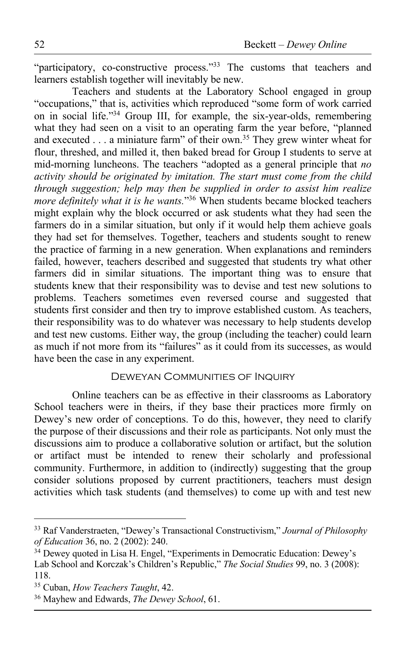"participatory, co-constructive process."<sup>33</sup> The customs that teachers and learners establish together will inevitably be new.

Teachers and students at the Laboratory School engaged in group "occupations," that is, activities which reproduced "some form of work carried on in social life."34 Group III, for example, the six-year-olds, remembering what they had seen on a visit to an operating farm the year before, "planned and executed . . . a miniature farm" of their own.35 They grew winter wheat for flour, threshed, and milled it, then baked bread for Group I students to serve at mid-morning luncheons. The teachers "adopted as a general principle that *no activity should be originated by imitation. The start must come from the child through suggestion; help may then be supplied in order to assist him realize more definitely what it is he wants.*"36 When students became blocked teachers might explain why the block occurred or ask students what they had seen the farmers do in a similar situation, but only if it would help them achieve goals they had set for themselves. Together, teachers and students sought to renew the practice of farming in a new generation. When explanations and reminders failed, however, teachers described and suggested that students try what other farmers did in similar situations. The important thing was to ensure that students knew that their responsibility was to devise and test new solutions to problems. Teachers sometimes even reversed course and suggested that students first consider and then try to improve established custom. As teachers, their responsibility was to do whatever was necessary to help students develop and test new customs. Either way, the group (including the teacher) could learn as much if not more from its "failures" as it could from its successes, as would have been the case in any experiment.

## Deweyan Communities of Inquiry

Online teachers can be as effective in their classrooms as Laboratory School teachers were in theirs, if they base their practices more firmly on Dewey's new order of conceptions. To do this, however, they need to clarify the purpose of their discussions and their role as participants. Not only must the discussions aim to produce a collaborative solution or artifact, but the solution or artifact must be intended to renew their scholarly and professional community. Furthermore, in addition to (indirectly) suggesting that the group consider solutions proposed by current practitioners, teachers must design activities which task students (and themselves) to come up with and test new

<sup>33</sup> Raf Vanderstraeten, "Dewey's Transactional Constructivism," *Journal of Philosophy of Education* 36, no. 2 (2002): 240.

<sup>34</sup> Dewey quoted in Lisa H. Engel, "Experiments in Democratic Education: Dewey's Lab School and Korczak's Children's Republic," *The Social Studies* 99, no. 3 (2008): 118.

<sup>35</sup> Cuban, *How Teachers Taught*, 42.

<sup>36</sup> Mayhew and Edwards, *The Dewey School*, 61.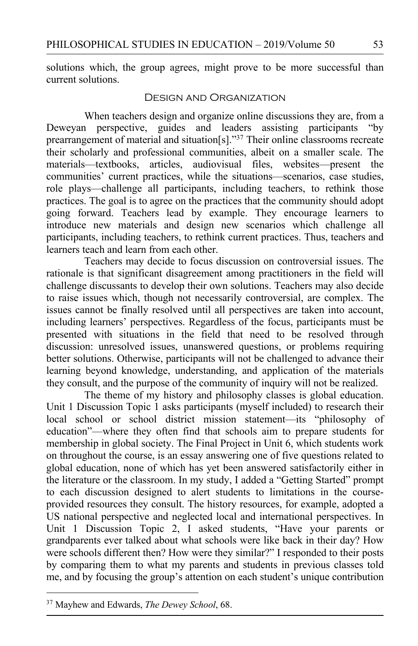solutions which, the group agrees, might prove to be more successful than current solutions.

### Design and Organization

When teachers design and organize online discussions they are, from a Deweyan perspective, guides and leaders assisting participants "by prearrangement of material and situation[s]."37 Their online classrooms recreate their scholarly and professional communities, albeit on a smaller scale. The materials—textbooks, articles, audiovisual files, websites—present the communities' current practices, while the situations—scenarios, case studies, role plays—challenge all participants, including teachers, to rethink those practices. The goal is to agree on the practices that the community should adopt going forward. Teachers lead by example. They encourage learners to introduce new materials and design new scenarios which challenge all participants, including teachers, to rethink current practices. Thus, teachers and learners teach and learn from each other.

Teachers may decide to focus discussion on controversial issues. The rationale is that significant disagreement among practitioners in the field will challenge discussants to develop their own solutions. Teachers may also decide to raise issues which, though not necessarily controversial, are complex. The issues cannot be finally resolved until all perspectives are taken into account, including learners' perspectives. Regardless of the focus, participants must be presented with situations in the field that need to be resolved through discussion: unresolved issues, unanswered questions, or problems requiring better solutions. Otherwise, participants will not be challenged to advance their learning beyond knowledge, understanding, and application of the materials they consult, and the purpose of the community of inquiry will not be realized.

The theme of my history and philosophy classes is global education. Unit 1 Discussion Topic 1 asks participants (myself included) to research their local school or school district mission statement—its "philosophy of education"—where they often find that schools aim to prepare students for membership in global society. The Final Project in Unit 6, which students work on throughout the course, is an essay answering one of five questions related to global education, none of which has yet been answered satisfactorily either in the literature or the classroom. In my study, I added a "Getting Started" prompt to each discussion designed to alert students to limitations in the courseprovided resources they consult. The history resources, for example, adopted a US national perspective and neglected local and international perspectives. In Unit 1 Discussion Topic 2, I asked students, "Have your parents or grandparents ever talked about what schools were like back in their day? How were schools different then? How were they similar?" I responded to their posts by comparing them to what my parents and students in previous classes told me, and by focusing the group's attention on each student's unique contribution

<sup>37</sup> Mayhew and Edwards, *The Dewey School*, 68.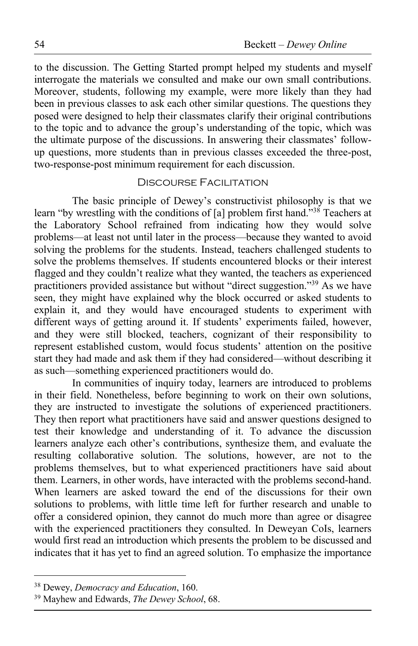to the discussion. The Getting Started prompt helped my students and myself interrogate the materials we consulted and make our own small contributions. Moreover, students, following my example, were more likely than they had been in previous classes to ask each other similar questions. The questions they posed were designed to help their classmates clarify their original contributions to the topic and to advance the group's understanding of the topic, which was the ultimate purpose of the discussions. In answering their classmates' followup questions, more students than in previous classes exceeded the three-post, two-response-post minimum requirement for each discussion.

## Discourse Facilitation

The basic principle of Dewey's constructivist philosophy is that we learn "by wrestling with the conditions of [a] problem first hand."<sup>38</sup> Teachers at the Laboratory School refrained from indicating how they would solve problems—at least not until later in the process—because they wanted to avoid solving the problems for the students. Instead, teachers challenged students to solve the problems themselves. If students encountered blocks or their interest flagged and they couldn't realize what they wanted, the teachers as experienced practitioners provided assistance but without "direct suggestion."39 As we have seen, they might have explained why the block occurred or asked students to explain it, and they would have encouraged students to experiment with different ways of getting around it. If students' experiments failed, however, and they were still blocked, teachers, cognizant of their responsibility to represent established custom, would focus students' attention on the positive start they had made and ask them if they had considered—without describing it as such—something experienced practitioners would do.

In communities of inquiry today, learners are introduced to problems in their field. Nonetheless, before beginning to work on their own solutions, they are instructed to investigate the solutions of experienced practitioners. They then report what practitioners have said and answer questions designed to test their knowledge and understanding of it. To advance the discussion learners analyze each other's contributions, synthesize them, and evaluate the resulting collaborative solution. The solutions, however, are not to the problems themselves, but to what experienced practitioners have said about them. Learners, in other words, have interacted with the problems second-hand. When learners are asked toward the end of the discussions for their own solutions to problems, with little time left for further research and unable to offer a considered opinion, they cannot do much more than agree or disagree with the experienced practitioners they consulted. In Deweyan CoIs, learners would first read an introduction which presents the problem to be discussed and indicates that it has yet to find an agreed solution. To emphasize the importance

<sup>38</sup> Dewey, *Democracy and Education*, 160.

<sup>39</sup> Mayhew and Edwards, *The Dewey School*, 68.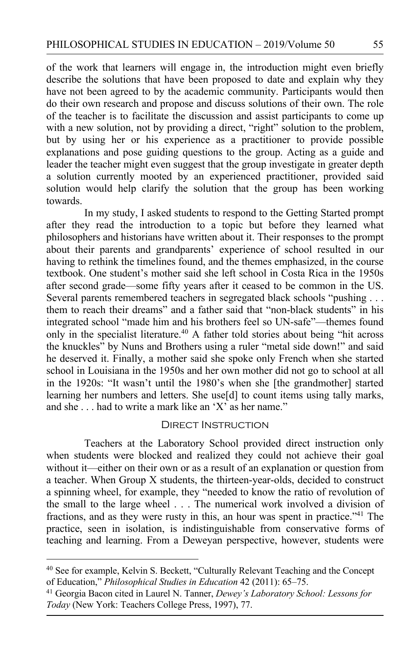of the work that learners will engage in, the introduction might even briefly describe the solutions that have been proposed to date and explain why they have not been agreed to by the academic community. Participants would then do their own research and propose and discuss solutions of their own. The role of the teacher is to facilitate the discussion and assist participants to come up with a new solution, not by providing a direct, "right" solution to the problem, but by using her or his experience as a practitioner to provide possible explanations and pose guiding questions to the group. Acting as a guide and leader the teacher might even suggest that the group investigate in greater depth a solution currently mooted by an experienced practitioner, provided said solution would help clarify the solution that the group has been working towards.

In my study, I asked students to respond to the Getting Started prompt after they read the introduction to a topic but before they learned what philosophers and historians have written about it. Their responses to the prompt about their parents and grandparents' experience of school resulted in our having to rethink the timelines found, and the themes emphasized, in the course textbook. One student's mother said she left school in Costa Rica in the 1950s after second grade—some fifty years after it ceased to be common in the US. Several parents remembered teachers in segregated black schools "pushing . . . them to reach their dreams" and a father said that "non-black students" in his integrated school "made him and his brothers feel so UN-safe"—themes found only in the specialist literature.40 A father told stories about being "hit across the knuckles" by Nuns and Brothers using a ruler "metal side down!" and said he deserved it. Finally, a mother said she spoke only French when she started school in Louisiana in the 1950s and her own mother did not go to school at all in the 1920s: "It wasn't until the 1980's when she [the grandmother] started learning her numbers and letters. She use[d] to count items using tally marks, and she  $\ldots$  had to write a mark like an 'X' as her name."

## DIRECT INSTRUCTION

Teachers at the Laboratory School provided direct instruction only when students were blocked and realized they could not achieve their goal without it—either on their own or as a result of an explanation or question from a teacher. When Group X students, the thirteen-year-olds, decided to construct a spinning wheel, for example, they "needed to know the ratio of revolution of the small to the large wheel . . . The numerical work involved a division of fractions, and as they were rusty in this, an hour was spent in practice."41 The practice, seen in isolation, is indistinguishable from conservative forms of teaching and learning. From a Deweyan perspective, however, students were

<sup>40</sup> See for example, Kelvin S. Beckett, "Culturally Relevant Teaching and the Concept of Education," *Philosophical Studies in Education* 42 (2011): 65–75. 41 Georgia Bacon cited in Laurel N. Tanner, *Dewey's Laboratory School: Lessons for* 

*Today* (New York: Teachers College Press, 1997), 77.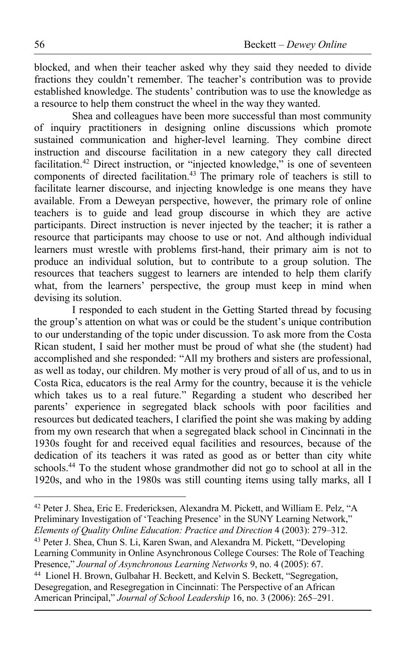blocked, and when their teacher asked why they said they needed to divide fractions they couldn't remember. The teacher's contribution was to provide established knowledge. The students' contribution was to use the knowledge as a resource to help them construct the wheel in the way they wanted.

Shea and colleagues have been more successful than most community of inquiry practitioners in designing online discussions which promote sustained communication and higher-level learning. They combine direct instruction and discourse facilitation in a new category they call directed facilitation.<sup>42</sup> Direct instruction, or "injected knowledge," is one of seventeen components of directed facilitation.43 The primary role of teachers is still to facilitate learner discourse, and injecting knowledge is one means they have available. From a Deweyan perspective, however, the primary role of online teachers is to guide and lead group discourse in which they are active participants. Direct instruction is never injected by the teacher; it is rather a resource that participants may choose to use or not. And although individual learners must wrestle with problems first-hand, their primary aim is not to produce an individual solution, but to contribute to a group solution. The resources that teachers suggest to learners are intended to help them clarify what, from the learners' perspective, the group must keep in mind when devising its solution.

I responded to each student in the Getting Started thread by focusing the group's attention on what was or could be the student's unique contribution to our understanding of the topic under discussion. To ask more from the Costa Rican student, I said her mother must be proud of what she (the student) had accomplished and she responded: "All my brothers and sisters are professional, as well as today, our children. My mother is very proud of all of us, and to us in Costa Rica, educators is the real Army for the country, because it is the vehicle which takes us to a real future." Regarding a student who described her parents' experience in segregated black schools with poor facilities and resources but dedicated teachers, I clarified the point she was making by adding from my own research that when a segregated black school in Cincinnati in the 1930s fought for and received equal facilities and resources, because of the dedication of its teachers it was rated as good as or better than city white schools.44 To the student whose grandmother did not go to school at all in the 1920s, and who in the 1980s was still counting items using tally marks, all I

<sup>42</sup> Peter J. Shea, Eric E. Fredericksen, Alexandra M. Pickett, and William E. Pelz, "A Preliminary Investigation of 'Teaching Presence' in the SUNY Learning Network," *Elements of Quality Online Education: Practice and Direction* 4 (2003): 279–312.

<sup>43</sup> Peter J. Shea, Chun S. Li, Karen Swan, and Alexandra M. Pickett, "Developing Learning Community in Online Asynchronous College Courses: The Role of Teaching Presence," *Journal of Asynchronous Learning Networks* 9, no. 4 (2005): 67.

<sup>44</sup> Lionel H. Brown, Gulbahar H. Beckett, and Kelvin S. Beckett, "Segregation, Desegregation, and Resegregation in Cincinnati: The Perspective of an African American Principal," *Journal of School Leadership* 16, no. 3 (2006): 265–291.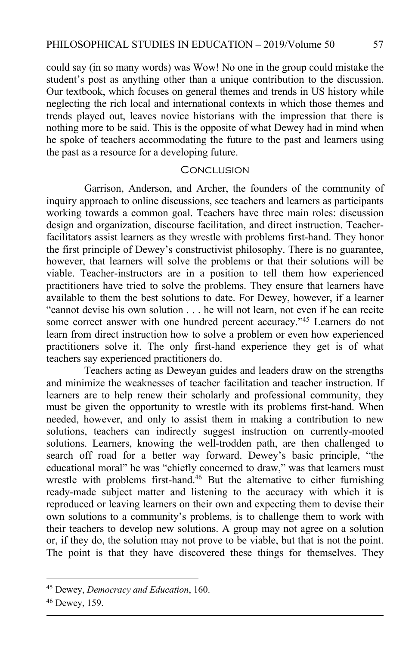could say (in so many words) was Wow! No one in the group could mistake the student's post as anything other than a unique contribution to the discussion. Our textbook, which focuses on general themes and trends in US history while neglecting the rich local and international contexts in which those themes and trends played out, leaves novice historians with the impression that there is nothing more to be said. This is the opposite of what Dewey had in mind when he spoke of teachers accommodating the future to the past and learners using the past as a resource for a developing future.

## CONCLUSION

Garrison, Anderson, and Archer, the founders of the community of inquiry approach to online discussions, see teachers and learners as participants working towards a common goal. Teachers have three main roles: discussion design and organization, discourse facilitation, and direct instruction. Teacherfacilitators assist learners as they wrestle with problems first-hand. They honor the first principle of Dewey's constructivist philosophy. There is no guarantee, however, that learners will solve the problems or that their solutions will be viable. Teacher-instructors are in a position to tell them how experienced practitioners have tried to solve the problems. They ensure that learners have available to them the best solutions to date. For Dewey, however, if a learner "cannot devise his own solution . . . he will not learn, not even if he can recite some correct answer with one hundred percent accuracy."<sup>45</sup> Learners do not learn from direct instruction how to solve a problem or even how experienced practitioners solve it. The only first-hand experience they get is of what teachers say experienced practitioners do.

Teachers acting as Deweyan guides and leaders draw on the strengths and minimize the weaknesses of teacher facilitation and teacher instruction. If learners are to help renew their scholarly and professional community, they must be given the opportunity to wrestle with its problems first-hand. When needed, however, and only to assist them in making a contribution to new solutions, teachers can indirectly suggest instruction on currently-mooted solutions. Learners, knowing the well-trodden path, are then challenged to search off road for a better way forward. Dewey's basic principle, "the educational moral" he was "chiefly concerned to draw," was that learners must wrestle with problems first-hand.<sup>46</sup> But the alternative to either furnishing ready-made subject matter and listening to the accuracy with which it is reproduced or leaving learners on their own and expecting them to devise their own solutions to a community's problems, is to challenge them to work with their teachers to develop new solutions. A group may not agree on a solution or, if they do, the solution may not prove to be viable, but that is not the point. The point is that they have discovered these things for themselves. They

<sup>45</sup> Dewey, *Democracy and Education*, 160.

<sup>46</sup> Dewey, 159.